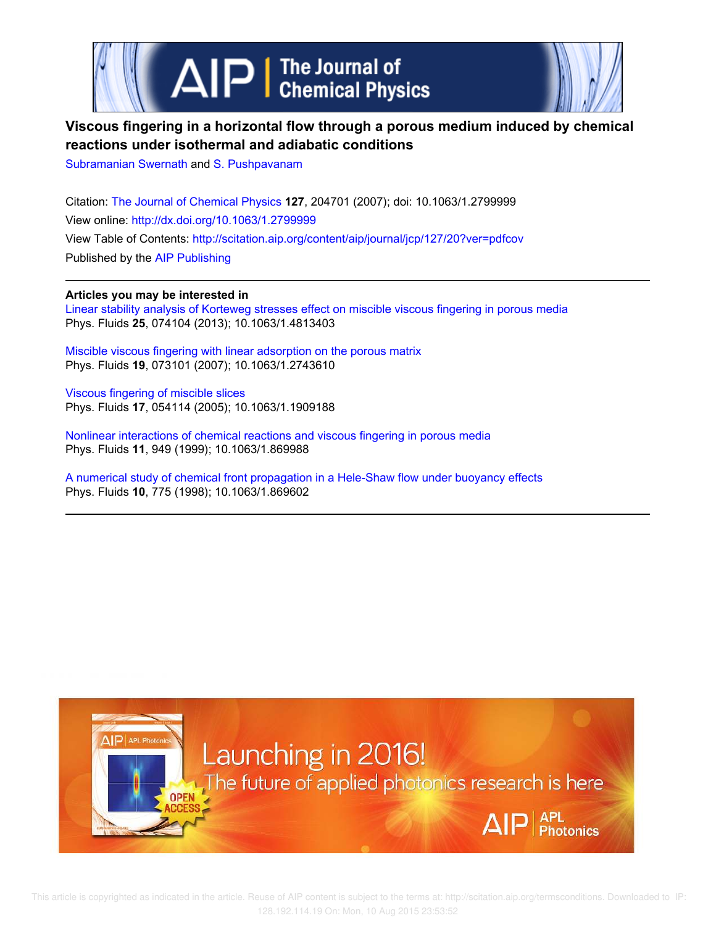



# **Viscous fingering in a horizontal flow through a porous medium induced by chemical reactions under isothermal and adiabatic conditions**

Subramanian Swernath and S. Pushpavanam

Citation: The Journal of Chemical Physics **127**, 204701 (2007); doi: 10.1063/1.2799999 View online: http://dx.doi.org/10.1063/1.2799999 View Table of Contents: http://scitation.aip.org/content/aip/journal/jcp/127/20?ver=pdfcov Published by the AIP Publishing

**Articles you may be interested in** Linear stability analysis of Korteweg stresses effect on miscible viscous fingering in porous media Phys. Fluids **25**, 074104 (2013); 10.1063/1.4813403

Miscible viscous fingering with linear adsorption on the porous matrix Phys. Fluids **19**, 073101 (2007); 10.1063/1.2743610

Viscous fingering of miscible slices Phys. Fluids **17**, 054114 (2005); 10.1063/1.1909188

Nonlinear interactions of chemical reactions and viscous fingering in porous media Phys. Fluids **11**, 949 (1999); 10.1063/1.869988

A numerical study of chemical front propagation in a Hele-Shaw flow under buoyancy effects Phys. Fluids **10**, 775 (1998); 10.1063/1.869602

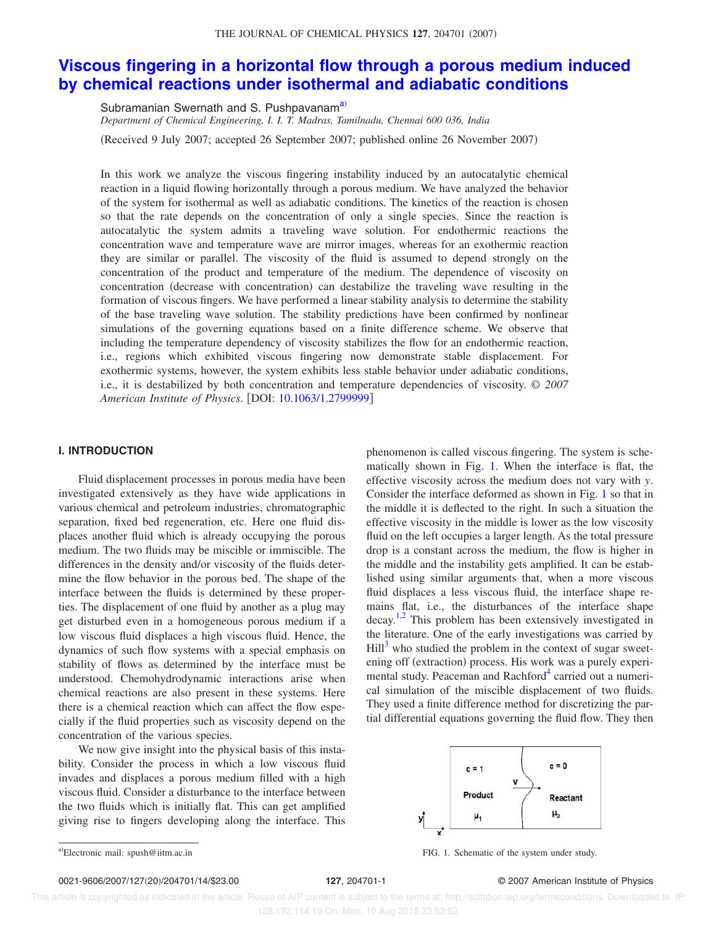# THE JOURNAL OF CHEMICAL PHYSICS 127, 204701 (2007)

# **Viscous fingering in a horizontal flow through a porous medium induced by chemical reactions under isothermal and adiabatic conditions**

Subramanian Swernath and S. Pushpavanam<sup>a)</sup>

*Department of Chemical Engineering, I. I. T. Madras, Tamilnadu, Chennai 600 036, India* Received 9 July 2007; accepted 26 September 2007; published online 26 November 2007-

In this work we analyze the viscous fingering instability induced by an autocatalytic chemical reaction in a liquid flowing horizontally through a porous medium. We have analyzed the behavior of the system for isothermal as well as adiabatic conditions. The kinetics of the reaction is chosen so that the rate depends on the concentration of only a single species. Since the reaction is autocatalytic the system admits a traveling wave solution. For endothermic reactions the concentration wave and temperature wave are mirror images, whereas for an exothermic reaction they are similar or parallel. The viscosity of the fluid is assumed to depend strongly on the concentration of the product and temperature of the medium. The dependence of viscosity on concentration (decrease with concentration) can destabilize the traveling wave resulting in the formation of viscous fingers. We have performed a linear stability analysis to determine the stability of the base traveling wave solution. The stability predictions have been confirmed by nonlinear simulations of the governing equations based on a finite difference scheme. We observe that including the temperature dependency of viscosity stabilizes the flow for an endothermic reaction, i.e., regions which exhibited viscous fingering now demonstrate stable displacement. For exothermic systems, however, the system exhibits less stable behavior under adiabatic conditions, i.e., it is destabilized by both concentration and temperature dependencies of viscosity. © *2007 American Institute of Physics*. DOI: 10.1063/1.2799999

# **I. INTRODUCTION**

Fluid displacement processes in porous media have been investigated extensively as they have wide applications in various chemical and petroleum industries, chromatographic separation, fixed bed regeneration, etc. Here one fluid displaces another fluid which is already occupying the porous medium. The two fluids may be miscible or immiscible. The differences in the density and/or viscosity of the fluids determine the flow behavior in the porous bed. The shape of the interface between the fluids is determined by these properties. The displacement of one fluid by another as a plug may get disturbed even in a homogeneous porous medium if a low viscous fluid displaces a high viscous fluid. Hence, the dynamics of such flow systems with a special emphasis on stability of flows as determined by the interface must be understood. Chemohydrodynamic interactions arise when chemical reactions are also present in these systems. Here there is a chemical reaction which can affect the flow especially if the fluid properties such as viscosity depend on the concentration of the various species.

We now give insight into the physical basis of this instability. Consider the process in which a low viscous fluid invades and displaces a porous medium filled with a high viscous fluid. Consider a disturbance to the interface between the two fluids which is initially flat. This can get amplified giving rise to fingers developing along the interface. This

phenomenon is called viscous fingering. The system is schematically shown in Fig. 1. When the interface is flat, the effective viscosity across the medium does not vary with *y*. Consider the interface deformed as shown in Fig. 1 so that in the middle it is deflected to the right. In such a situation the effective viscosity in the middle is lower as the low viscosity fluid on the left occupies a larger length. As the total pressure drop is a constant across the medium, the flow is higher in the middle and the instability gets amplified. It can be established using similar arguments that, when a more viscous fluid displaces a less viscous fluid, the interface shape remains flat, i.e., the disturbances of the interface shape decay.<sup>1,2</sup> This problem has been extensively investigated in the literature. One of the early investigations was carried by  $Hill<sup>3</sup>$  who studied the problem in the context of sugar sweetening off (extraction) process. His work was a purely experimental study. Peaceman and Rachford<sup>4</sup> carried out a numerical simulation of the miscible displacement of two fluids. They used a finite difference method for discretizing the partial differential equations governing the fluid flow. They then



FIG. 1. Schematic of the system under study.

#### 127, 204701-1 **127, 204701-1** © 2007 American Institute of Physics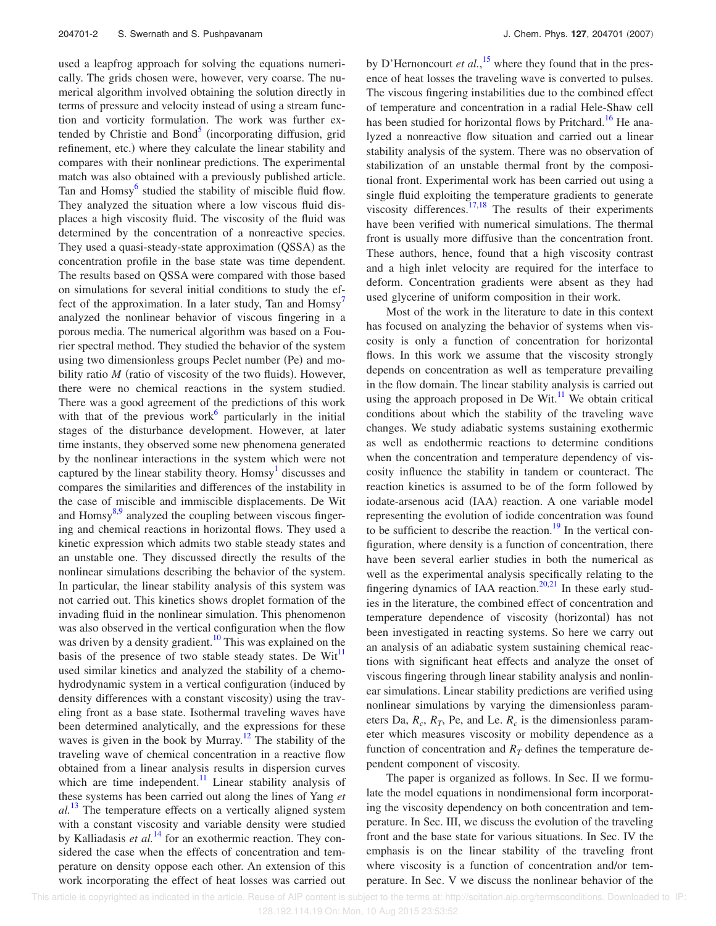used a leapfrog approach for solving the equations numerically. The grids chosen were, however, very coarse. The numerical algorithm involved obtaining the solution directly in terms of pressure and velocity instead of using a stream function and vorticity formulation. The work was further extended by Christie and Bond<sup>5</sup> (incorporating diffusion, grid refinement, etc.) where they calculate the linear stability and compares with their nonlinear predictions. The experimental match was also obtained with a previously published article. Tan and Homsy<sup>6</sup> studied the stability of miscible fluid flow. They analyzed the situation where a low viscous fluid displaces a high viscosity fluid. The viscosity of the fluid was determined by the concentration of a nonreactive species. They used a quasi-steady-state approximation (QSSA) as the concentration profile in the base state was time dependent. The results based on QSSA were compared with those based on simulations for several initial conditions to study the effect of the approximation. In a later study, Tan and Homsy' analyzed the nonlinear behavior of viscous fingering in a porous media. The numerical algorithm was based on a Fourier spectral method. They studied the behavior of the system using two dimensionless groups Peclet number (Pe) and mobility ratio  $M$  (ratio of viscosity of the two fluids). However, there were no chemical reactions in the system studied. There was a good agreement of the predictions of this work with that of the previous work $6$  particularly in the initial stages of the disturbance development. However, at later time instants, they observed some new phenomena generated by the nonlinear interactions in the system which were not captured by the linear stability theory. Homsy $<sup>1</sup>$  discusses and</sup> compares the similarities and differences of the instability in the case of miscible and immiscible displacements. De Wit and Homsy<sup>8,9</sup> analyzed the coupling between viscous fingering and chemical reactions in horizontal flows. They used a kinetic expression which admits two stable steady states and an unstable one. They discussed directly the results of the nonlinear simulations describing the behavior of the system. In particular, the linear stability analysis of this system was not carried out. This kinetics shows droplet formation of the invading fluid in the nonlinear simulation. This phenomenon was also observed in the vertical configuration when the flow was driven by a density gradient.<sup>10</sup> This was explained on the basis of the presence of two stable steady states. De Wit $<sup>11</sup>$ </sup> used similar kinetics and analyzed the stability of a chemohydrodynamic system in a vertical configuration (induced by density differences with a constant viscosity) using the traveling front as a base state. Isothermal traveling waves have been determined analytically, and the expressions for these waves is given in the book by Murray.<sup>12</sup> The stability of the traveling wave of chemical concentration in a reactive flow obtained from a linear analysis results in dispersion curves which are time independent.<sup>11</sup> Linear stability analysis of these systems has been carried out along the lines of Yang *et al.*<sup>13</sup> The temperature effects on a vertically aligned system with a constant viscosity and variable density were studied by Kalliadasis *et al.*<sup>14</sup> for an exothermic reaction. They considered the case when the effects of concentration and temperature on density oppose each other. An extension of this work incorporating the effect of heat losses was carried out

by D'Hernoncourt *et al.*,<sup>15</sup> where they found that in the presence of heat losses the traveling wave is converted to pulses. The viscous fingering instabilities due to the combined effect of temperature and concentration in a radial Hele-Shaw cell has been studied for horizontal flows by Pritchard.<sup>16</sup> He analyzed a nonreactive flow situation and carried out a linear stability analysis of the system. There was no observation of stabilization of an unstable thermal front by the compositional front. Experimental work has been carried out using a single fluid exploiting the temperature gradients to generate viscosity differences.<sup>17,18</sup> The results of their experiments have been verified with numerical simulations. The thermal front is usually more diffusive than the concentration front. These authors, hence, found that a high viscosity contrast and a high inlet velocity are required for the interface to deform. Concentration gradients were absent as they had used glycerine of uniform composition in their work.

Most of the work in the literature to date in this context has focused on analyzing the behavior of systems when viscosity is only a function of concentration for horizontal flows. In this work we assume that the viscosity strongly depends on concentration as well as temperature prevailing in the flow domain. The linear stability analysis is carried out using the approach proposed in De Wit. $<sup>11</sup>$  We obtain critical</sup> conditions about which the stability of the traveling wave changes. We study adiabatic systems sustaining exothermic as well as endothermic reactions to determine conditions when the concentration and temperature dependency of viscosity influence the stability in tandem or counteract. The reaction kinetics is assumed to be of the form followed by iodate-arsenous acid (IAA) reaction. A one variable model representing the evolution of iodide concentration was found to be sufficient to describe the reaction.<sup>19</sup> In the vertical configuration, where density is a function of concentration, there have been several earlier studies in both the numerical as well as the experimental analysis specifically relating to the fingering dynamics of IAA reaction.<sup>20,21</sup> In these early studies in the literature, the combined effect of concentration and temperature dependence of viscosity (horizontal) has not been investigated in reacting systems. So here we carry out an analysis of an adiabatic system sustaining chemical reactions with significant heat effects and analyze the onset of viscous fingering through linear stability analysis and nonlinear simulations. Linear stability predictions are verified using nonlinear simulations by varying the dimensionless parameters Da,  $R_c$ ,  $R_T$ , Pe, and Le.  $R_c$  is the dimensionless parameter which measures viscosity or mobility dependence as a function of concentration and  $R<sub>T</sub>$  defines the temperature dependent component of viscosity.

The paper is organized as follows. In Sec. II we formulate the model equations in nondimensional form incorporating the viscosity dependency on both concentration and temperature. In Sec. III, we discuss the evolution of the traveling front and the base state for various situations. In Sec. IV the emphasis is on the linear stability of the traveling front where viscosity is a function of concentration and/or temperature. In Sec. V we discuss the nonlinear behavior of the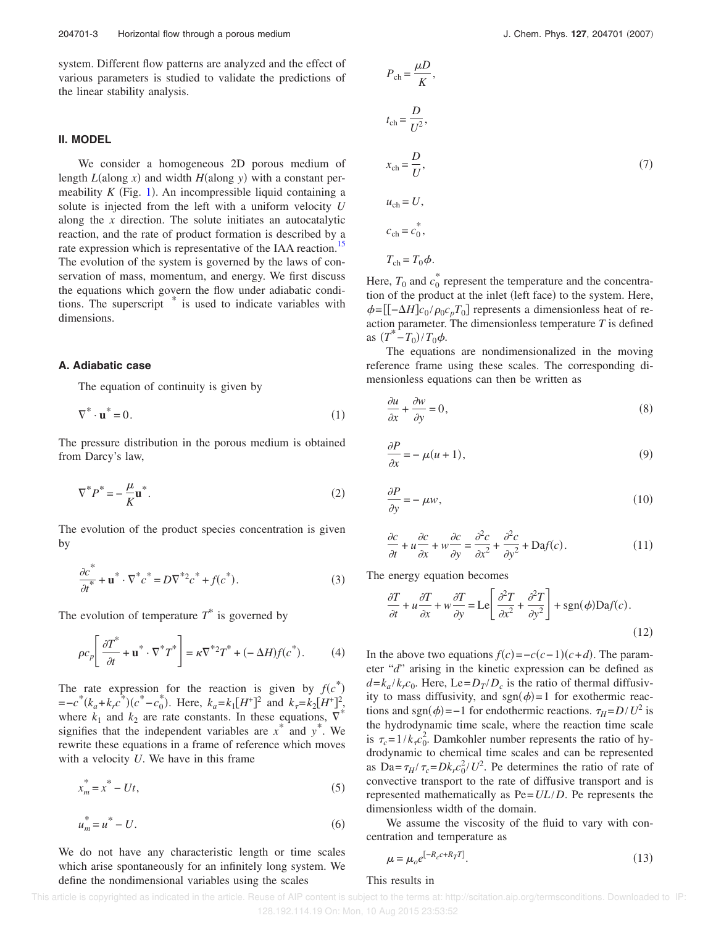system. Different flow patterns are analyzed and the effect of various parameters is studied to validate the predictions of the linear stability analysis.

## **II. MODEL**

We consider a homogeneous 2D porous medium of length  $L$ (along  $x$ ) and width  $H$ (along  $y$ ) with a constant permeability  $K$  (Fig. 1). An incompressible liquid containing a solute is injected from the left with a uniform velocity *U* along the *x* direction. The solute initiates an autocatalytic reaction, and the rate of product formation is described by a rate expression which is representative of the IAA reaction.<sup>15</sup> The evolution of the system is governed by the laws of conservation of mass, momentum, and energy. We first discuss the equations which govern the flow under adiabatic conditions. The superscript \* is used to indicate variables with dimensions.

## **A. Adiabatic case**

The equation of continuity is given by

$$
\nabla^* \cdot \mathbf{u}^* = 0. \tag{1}
$$

The pressure distribution in the porous medium is obtained from Darcy's law,

$$
\nabla^* P^* = -\frac{\mu}{K} \mathbf{u}^* \,. \tag{2}
$$

The evolution of the product species concentration is given by

$$
\frac{\partial c^*}{\partial t^*} + \mathbf{u}^* \cdot \nabla^* c^* = D \nabla^{*2} c^* + f(c^*).
$$
 (3)

The evolution of temperature  $T^*$  is governed by

$$
\rho c_p \left[ \frac{\partial T^*}{\partial t} + \mathbf{u}^* \cdot \nabla^* T^* \right] = \kappa \nabla^{*2} T^* + (-\Delta H) f(c^*). \tag{4}
$$

The rate expression for the reaction is given by  $f(c^*)$  $=-c^{*}(k_{a}+k_{r}c^{*})(c^{*}-c_{0}^{*})$ . Here,  $k_{a}=k_{1}[H^{+}]^{2}$  and  $k_{\tau}=k_{2}[H^{+}]^{2}$ . where  $k_1$  and  $k_2$  are rate constants. In these equations,  $\overline{\nabla}^*$ signifies that the independent variables are  $x^*$  and  $y^*$ . We rewrite these equations in a frame of reference which moves with a velocity *U*. We have in this frame

$$
x_m^* = x^* - Ut,\tag{5}
$$

$$
u_m^* = u^* - U.
$$
 (6)

We do not have any characteristic length or time scales which arise spontaneously for an infinitely long system. We define the nondimensional variables using the scales

$$
P_{\text{ch}} = \frac{\mu D}{K},
$$
  
\n
$$
t_{\text{ch}} = \frac{D}{U^2},
$$
  
\n
$$
x_{\text{ch}} = \frac{D}{U},
$$
  
\n
$$
u_{\text{ch}} = U,
$$
  
\n
$$
c_{\text{ch}} = c_0^*,
$$
  
\n
$$
T_{\text{ch}} = T_0 \phi.
$$
  
\n(7)

Here,  $T_0$  and  $c_0^*$  represent the temperature and the concentration of the product at the inlet (left face) to the system. Here,  $\phi = [[-\Delta H]c_0/\rho_0 c_p T_0]$  represents a dimensionless heat of reaction parameter. The dimensionless temperature *T* is defined as  $(T^* - T_0) / T_0 \phi$ .

The equations are nondimensionalized in the moving reference frame using these scales. The corresponding dimensionless equations can then be written as

$$
\frac{\partial u}{\partial x} + \frac{\partial w}{\partial y} = 0,\tag{8}
$$

$$
\frac{\partial P}{\partial x} = -\mu(u+1),\tag{9}
$$

$$
\frac{\partial P}{\partial y} = -\mu w,\tag{10}
$$

$$
\frac{\partial c}{\partial t} + u \frac{\partial c}{\partial x} + w \frac{\partial c}{\partial y} = \frac{\partial^2 c}{\partial x^2} + \frac{\partial^2 c}{\partial y^2} + \text{Daf}(c). \tag{11}
$$

The energy equation becomes

$$
\frac{\partial T}{\partial t} + u \frac{\partial T}{\partial x} + w \frac{\partial T}{\partial y} = \text{Le}\left[\frac{\partial^2 T}{\partial x^2} + \frac{\partial^2 T}{\partial y^2}\right] + \text{sgn}(\phi)\text{Daf}(c). \tag{12}
$$

In the above two equations  $f(c) = -c(c-1)(c+d)$ . The parameter "*d*" arising in the kinetic expression can be defined as  $d = k_a / k_r c_0$ . Here, Le= $D_T / D_c$  is the ratio of thermal diffusivity to mass diffusivity, and  $sgn(\phi) = 1$  for exothermic reactions and sgn( $\phi$ ) = -1 for endothermic reactions.  $\tau_H = D/U^2$  is the hydrodynamic time scale, where the reaction time scale is  $\tau_c = 1/k_r c_0^2$ . Damkohler number represents the ratio of hydrodynamic to chemical time scales and can be represented as  $Da = \tau_H / \tau_c = Dk_r c_0^2 / U^2$ . Pe determines the ratio of rate of convective transport to the rate of diffusive transport and is represented mathematically as Pe=*UL*/*D*. Pe represents the dimensionless width of the domain.

We assume the viscosity of the fluid to vary with concentration and temperature as

$$
\mu = \mu_o e^{[-R_c c + R_T T]}.\tag{13}
$$

This results in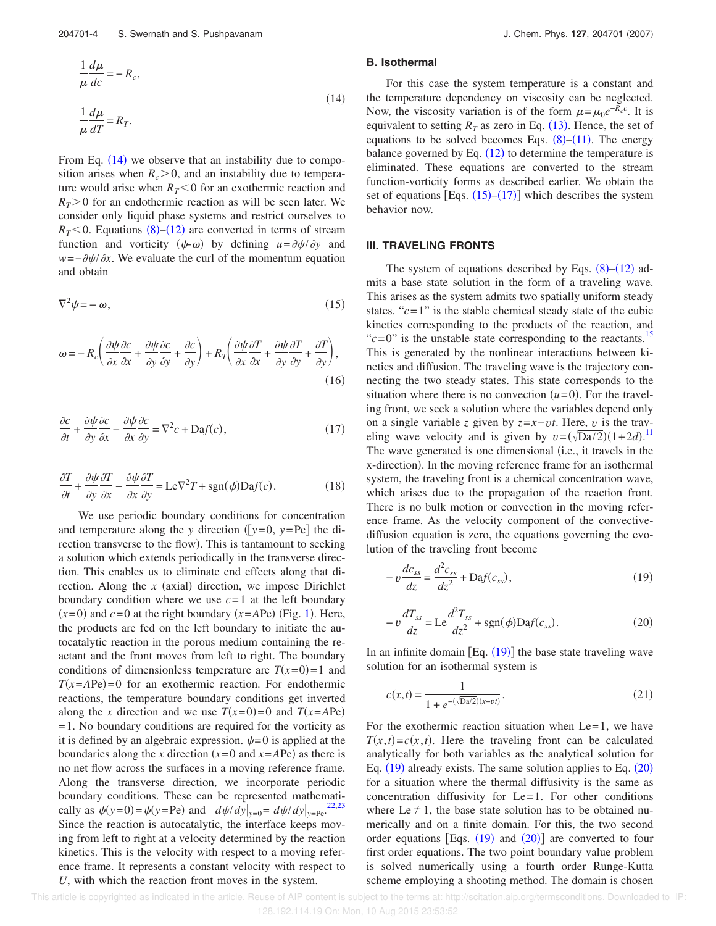$$
\frac{1}{\mu} \frac{d\mu}{dc} = -R_c,
$$
\n
$$
\frac{1}{\mu} \frac{d\mu}{dT} = R_T.
$$
\n(14)

From Eq. (14) we observe that an instability due to composition arises when  $R_c > 0$ , and an instability due to temperature would arise when  $R_T < 0$  for an exothermic reaction and  $R<sub>T</sub>$  for an endothermic reaction as will be seen later. We consider only liquid phase systems and restrict ourselves to  $R_T$ <0. Equations (8)–(12) are converted in terms of stream function and vorticity  $(\psi-\omega)$  by defining  $u = \frac{\partial \psi}{\partial y}$  and *w*=− $\partial \psi / \partial x$ . We evaluate the curl of the momentum equation and obtain

$$
\nabla^2 \psi = -\omega,\tag{15}
$$

$$
\omega = -R_c \left( \frac{\partial \psi}{\partial x} \frac{\partial c}{\partial x} + \frac{\partial \psi}{\partial y} \frac{\partial c}{\partial y} + \frac{\partial c}{\partial y} \right) + R_T \left( \frac{\partial \psi}{\partial x} \frac{\partial T}{\partial x} + \frac{\partial \psi}{\partial y} \frac{\partial T}{\partial y} + \frac{\partial T}{\partial y} \right),
$$
(16)

$$
\frac{\partial c}{\partial t} + \frac{\partial \psi}{\partial y} \frac{\partial c}{\partial x} - \frac{\partial \psi}{\partial x} \frac{\partial c}{\partial y} = \nabla^2 c + \text{Daf}(c),\tag{17}
$$

$$
\frac{\partial T}{\partial t} + \frac{\partial \psi}{\partial y} \frac{\partial T}{\partial x} - \frac{\partial \psi}{\partial x} \frac{\partial T}{\partial y} = \text{LeV}^2 T + \text{sgn}(\phi) \text{Daf}(c). \tag{18}
$$

We use periodic boundary conditions for concentration and temperature along the *y* direction  $(y=0, y=Pe)$  the direction transverse to the flow). This is tantamount to seeking a solution which extends periodically in the transverse direction. This enables us to eliminate end effects along that direction. Along the  $x$  (axial) direction, we impose Dirichlet boundary condition where we use  $c=1$  at the left boundary  $(x=0)$  and  $c=0$  at the right boundary  $(x=APe)$  (Fig. 1). Here, the products are fed on the left boundary to initiate the autocatalytic reaction in the porous medium containing the reactant and the front moves from left to right. The boundary conditions of dimensionless temperature are  $T(x=0)=1$  and  $T(x=APe) = 0$  for an exothermic reaction. For endothermic reactions, the temperature boundary conditions get inverted along the *x* direction and we use  $T(x=0)=0$  and  $T(x=APe)$ =1. No boundary conditions are required for the vorticity as it is defined by an algebraic expression.  $\psi = 0$  is applied at the boundaries along the *x* direction  $(x=0 \text{ and } x=APe)$  as there is no net flow across the surfaces in a moving reference frame. Along the transverse direction, we incorporate periodic boundary conditions. These can be represented mathematically as  $\psi(y=0) = \psi(y=Pe)$  and  $\frac{d\psi}{dy}|_{y=0} = \frac{d\psi}{dy}|_{y=Pe}^{2.2,23}$ Since the reaction is autocatalytic, the interface keeps moving from left to right at a velocity determined by the reaction kinetics. This is the velocity with respect to a moving reference frame. It represents a constant velocity with respect to *U*, with which the reaction front moves in the system.

#### **B. Isothermal**

For this case the system temperature is a constant and the temperature dependency on viscosity can be neglected. Now, the viscosity variation is of the form  $\mu = \mu_0 e^{-R_c c}$ . It is equivalent to setting  $R_T$  as zero in Eq.  $(13)$ . Hence, the set of equations to be solved becomes Eqs.  $(8)$ – $(11)$ . The energy balance governed by Eq.  $(12)$  to determine the temperature is eliminated. These equations are converted to the stream function-vorticity forms as described earlier. We obtain the set of equations [Eqs.  $(15)$ – $(17)$ ] which describes the system behavior now.

### **III. TRAVELING FRONTS**

The system of equations described by Eqs.  $(8)$ – $(12)$  admits a base state solution in the form of a traveling wave. This arises as the system admits two spatially uniform steady states. " $c=1$ " is the stable chemical steady state of the cubic kinetics corresponding to the products of the reaction, and " $c=0$ " is the unstable state corresponding to the reactants.<sup>15</sup> This is generated by the nonlinear interactions between kinetics and diffusion. The traveling wave is the trajectory connecting the two steady states. This state corresponds to the situation where there is no convection  $(u=0)$ . For the traveling front, we seek a solution where the variables depend only on a single variable *z* given by *z*=*x*−*vt*. Here, *v* is the traveling wave velocity and is given by  $v = (\sqrt{Da/2})(1+2d)^{11}$ . The wave generated is one dimensional (i.e., it travels in the x-direction). In the moving reference frame for an isothermal system, the traveling front is a chemical concentration wave, which arises due to the propagation of the reaction front. There is no bulk motion or convection in the moving reference frame. As the velocity component of the convectivediffusion equation is zero, the equations governing the evolution of the traveling front become

$$
-v\frac{dc_{ss}}{dz} = \frac{d^2c_{ss}}{dz^2} + \text{Daf}(c_{ss}),\tag{19}
$$

$$
-v\frac{dT_{ss}}{dz} = \text{Le}\frac{d^2T_{ss}}{dz^2} + \text{sgn}(\phi)\text{Daf}(c_{ss}).\tag{20}
$$

In an infinite domain  $[Eq. (19)]$  the base state traveling wave solution for an isothermal system is

$$
c(x,t) = \frac{1}{1 + e^{-(\sqrt{\text{Da}(2)}(x - vt))}}.
$$
\n(21)

For the exothermic reaction situation when  $Le=1$ , we have  $T(x,t) = c(x,t)$ . Here the traveling front can be calculated analytically for both variables as the analytical solution for Eq.  $(19)$  already exists. The same solution applies to Eq.  $(20)$ for a situation where the thermal diffusivity is the same as concentration diffusivity for Le=1. For other conditions where Le $\neq$  1, the base state solution has to be obtained numerically and on a finite domain. For this, the two second order equations [Eqs.  $(19)$  and  $(20)$ ] are converted to four first order equations. The two point boundary value problem is solved numerically using a fourth order Runge-Kutta scheme employing a shooting method. The domain is chosen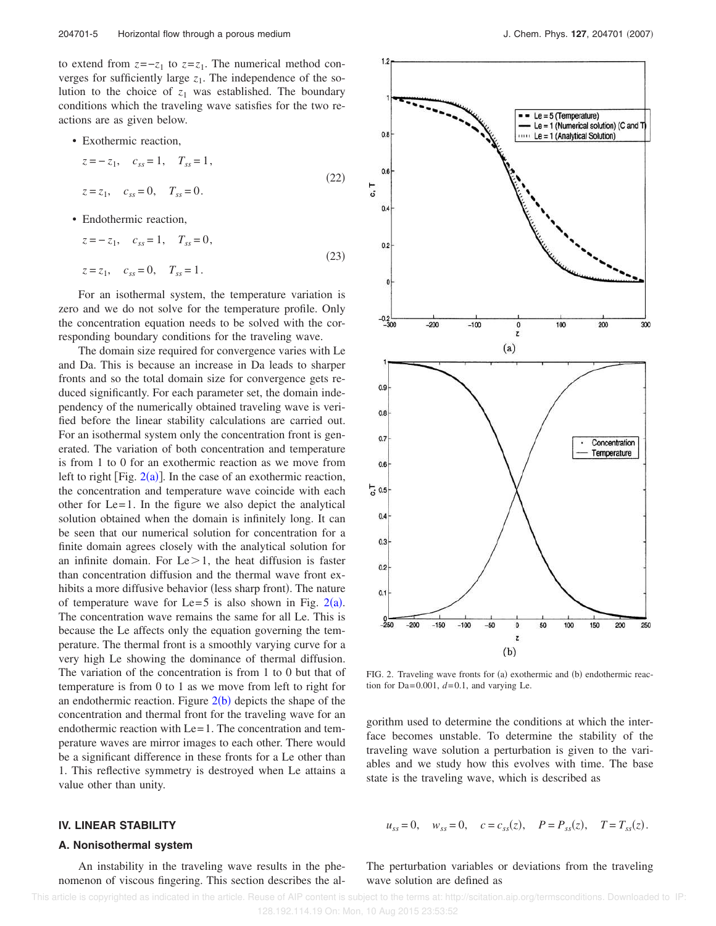to extend from  $z = -z_1$  to  $z = z_1$ . The numerical method converges for sufficiently large  $z_1$ . The independence of the solution to the choice of  $z_1$  was established. The boundary conditions which the traveling wave satisfies for the two reactions are as given below.

• Exothermic reaction,

$$
z = -z_1, \quad c_{ss} = 1, \quad T_{ss} = 1,
$$
  
\n
$$
z = z_1, \quad c_{ss} = 0, \quad T_{ss} = 0.
$$
\n(22)

• Endothermic reaction,

$$
z = -z_1, \quad c_{ss} = 1, \quad T_{ss} = 0,
$$
  

$$
z = z_1, \quad c_{ss} = 0, \quad T_{ss} = 1.
$$
 (23)

For an isothermal system, the temperature variation is zero and we do not solve for the temperature profile. Only the concentration equation needs to be solved with the corresponding boundary conditions for the traveling wave.

The domain size required for convergence varies with Le and Da. This is because an increase in Da leads to sharper fronts and so the total domain size for convergence gets reduced significantly. For each parameter set, the domain independency of the numerically obtained traveling wave is verified before the linear stability calculations are carried out. For an isothermal system only the concentration front is generated. The variation of both concentration and temperature is from 1 to 0 for an exothermic reaction as we move from left to right [Fig.  $2(a)$ ]. In the case of an exothermic reaction, the concentration and temperature wave coincide with each other for Le=1. In the figure we also depict the analytical solution obtained when the domain is infinitely long. It can be seen that our numerical solution for concentration for a finite domain agrees closely with the analytical solution for an infinite domain. For  $Le > 1$ , the heat diffusion is faster than concentration diffusion and the thermal wave front exhibits a more diffusive behavior (less sharp front). The nature of temperature wave for Le=5 is also shown in Fig.  $2(a)$ . The concentration wave remains the same for all Le. This is because the Le affects only the equation governing the temperature. The thermal front is a smoothly varying curve for a very high Le showing the dominance of thermal diffusion. The variation of the concentration is from 1 to 0 but that of temperature is from 0 to 1 as we move from left to right for an endothermic reaction. Figure  $2(b)$  depicts the shape of the concentration and thermal front for the traveling wave for an endothermic reaction with Le=1. The concentration and temperature waves are mirror images to each other. There would be a significant difference in these fronts for a Le other than 1. This reflective symmetry is destroyed when Le attains a value other than unity.

#### **A. Nonisothermal system**

An instability in the traveling wave results in the phenomenon of viscous fingering. This section describes the al-



FIG. 2. Traveling wave fronts for (a) exothermic and (b) endothermic reaction for  $Da = 0.001$ ,  $d = 0.1$ , and varying Le.

gorithm used to determine the conditions at which the interface becomes unstable. To determine the stability of the traveling wave solution a perturbation is given to the variables and we study how this evolves with time. The base state is the traveling wave, which is described as

$$
u_{ss} = 0
$$
,  $w_{ss} = 0$ ,  $c = c_{ss}(z)$ ,  $P = P_{ss}(z)$ ,  $T = T_{ss}(z)$ .

The perturbation variables or deviations from the traveling wave solution are defined as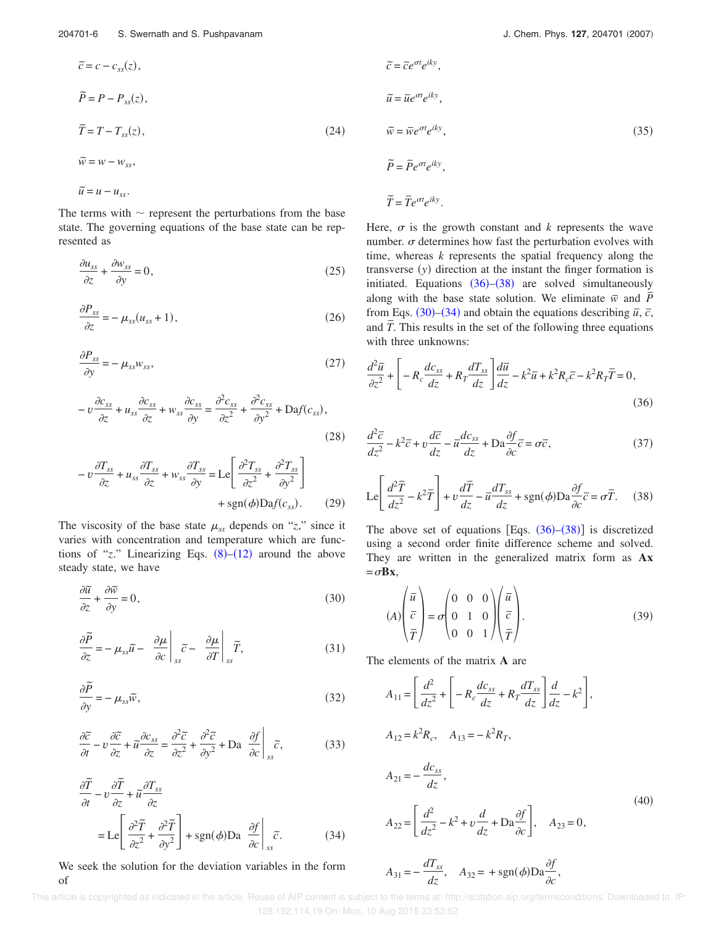$$
\widetilde{c} = c - c_{ss}(z),
$$
\n
$$
\widetilde{P} = P - P_{ss}(z),
$$
\n
$$
\widetilde{T} = T - T_{ss}(z),
$$
\n
$$
\widetilde{w} = w - w_{ss},
$$
\n(24)

 $\widetilde{u} = u - u_{ss}.$ 

The terms with  $\sim$  represent the perturbations from the base state. The governing equations of the base state can be represented as

$$
\frac{\partial u_{ss}}{\partial z} + \frac{\partial w_{ss}}{\partial y} = 0,\tag{25}
$$

$$
\frac{\partial P_{ss}}{\partial z} = -\mu_{ss}(u_{ss} + 1),\tag{26}
$$

$$
\frac{\partial P_{ss}}{\partial y} = -\mu_{ss} w_{ss},\tag{27}
$$

$$
-v\frac{\partial c_{ss}}{\partial z} + u_{ss}\frac{\partial c_{ss}}{\partial z} + w_{ss}\frac{\partial c_{ss}}{\partial y} = \frac{\partial^2 c_{ss}}{\partial z^2} + \frac{\partial^2 c_{ss}}{\partial y^2} + \text{Daf}(c_{ss}),\tag{28}
$$

$$
-v\frac{\partial T_{ss}}{\partial z} + u_{ss}\frac{\partial T_{ss}}{\partial z} + w_{ss}\frac{\partial T_{ss}}{\partial y} = \text{Le}\left[\frac{\partial^2 T_{ss}}{\partial z^2} + \frac{\partial^2 T_{ss}}{\partial y^2}\right] + \text{sgn}(\phi)\text{Daf}(c_{ss}).
$$
 (29)

The viscosity of the base state  $\mu_{ss}$  depends on "*z*," since it varies with concentration and temperature which are functions of "z." Linearizing Eqs.  $(8)$ – $(12)$  around the above steady state, we have

$$
\frac{\partial \widetilde{u}}{\partial z} + \frac{\partial \widetilde{w}}{\partial y} = 0,\tag{30}
$$

$$
\frac{\partial \widetilde{P}}{\partial z} = -\mu_{ss}\widetilde{u} - \left.\frac{\partial \mu}{\partial c}\right|_{ss}\widetilde{c} - \left.\frac{\partial \mu}{\partial T}\right|_{ss}\widetilde{T},\tag{31}
$$

$$
\frac{\partial \widetilde{P}}{\partial y} = -\mu_{ss}\widetilde{w},\tag{32}
$$

$$
\frac{\partial \widetilde{c}}{\partial t} - v \frac{\partial \widetilde{c}}{\partial z} + \widetilde{u} \frac{\partial c_{ss}}{\partial z} = \frac{\partial^2 \widetilde{c}}{\partial z^2} + \frac{\partial^2 \widetilde{c}}{\partial y^2} + \text{Da} \left. \frac{\partial f}{\partial c} \right|_{ss} \widetilde{c},\tag{33}
$$

$$
\frac{\partial \tilde{T}}{\partial t} - v \frac{\partial \tilde{T}}{\partial z} + \tilde{u} \frac{\partial T_{ss}}{\partial z} \n= \text{Le} \left[ \frac{\partial^2 \tilde{T}}{\partial z^2} + \frac{\partial^2 \tilde{T}}{\partial y^2} \right] + \text{sgn}(\phi) \text{Da} \frac{\partial f}{\partial c} \Big|_{ss} \tilde{c}.
$$
\n(34)

We seek the solution for the deviation variables in the form of

$$
\tilde{c} = \overline{c}e^{\sigma t}e^{iky},
$$
  
\n
$$
\tilde{u} = \overline{u}e^{\sigma t}e^{iky},
$$
  
\n
$$
\tilde{w} = \overline{w}e^{\sigma t}e^{iky},
$$
  
\n
$$
\tilde{P} = \overline{P}e^{\sigma t}e^{iky},
$$
  
\n
$$
\tilde{T} = \overline{T}e^{\sigma t}e^{iky}.
$$
\n(35)

Here,  $\sigma$  is the growth constant and  $k$  represents the wave number.  $\sigma$  determines how fast the perturbation evolves with time, whereas *k* represents the spatial frequency along the transverse (y) direction at the instant the finger formation is initiated. Equations  $(36)$ – $(38)$  are solved simultaneously along with the base state solution. We eliminate  $\overline{w}$  and  $\overline{P}$ from Eqs.  $(30)$ – $(34)$  and obtain the equations describing  $\bar{u}$ ,  $\bar{c}$ ,  $\overline{T}$ . This results in the set of the following three equations as  $\overline{T}$ . This results in the set of the following three equations with three unknowns:

$$
\frac{d^2\overline{u}}{\partial z^2} + \left[ -R_c \frac{dc_{ss}}{dz} + R_T \frac{dT_{ss}}{dz} \right] \frac{d\overline{u}}{dz} - k^2 \overline{u} + k^2 R_c \overline{c} - k^2 R_T \overline{T} = 0,
$$
\n(36)

$$
\frac{d^2\overline{c}}{dz^2} - k^2\overline{c} + v\frac{d\overline{c}}{dz} - \overline{u}\frac{dc_{ss}}{dz} + Da\frac{\partial f}{\partial c}\overline{c} = \sigma\overline{c},\tag{37}
$$

$$
\text{Le}\left[\frac{d^2\overline{T}}{dz^2} - k^2\overline{T}\right] + v\frac{d\overline{T}}{dz} - \overline{u}\frac{dT_{ss}}{dz} + \text{sgn}(\phi)\text{Da}\frac{\partial f}{\partial c}\overline{c} = \sigma\overline{T}.\tag{38}
$$

The above set of equations [Eqs.  $(36)$ – $(38)$ ] is discretized using a second order finite difference scheme and solved. They are written in the generalized matrix form as **Ax**  $= \sigma Bx$ ,

$$
(A) \begin{pmatrix} \overline{u} \\ \overline{c} \\ \overline{T} \end{pmatrix} = \sigma \begin{pmatrix} 0 & 0 & 0 \\ 0 & 1 & 0 \\ 0 & 0 & 1 \end{pmatrix} \begin{pmatrix} \overline{u} \\ \overline{c} \\ \overline{T} \end{pmatrix}.
$$
 (39)

The elements of the matrix **A** are

$$
A_{11} = \left[ \frac{d^2}{dz^2} + \left[ -R_c \frac{dc_{ss}}{dz} + R_T \frac{dT_{ss}}{dz} \right] \frac{d}{dz} - k^2 \right],
$$
  
\n
$$
A_{12} = k^2 R_c, \quad A_{13} = -k^2 R_T,
$$
  
\n
$$
A_{21} = -\frac{dc_{ss}}{dz},
$$
  
\n
$$
A_{22} = \left[ \frac{d^2}{dz^2} - k^2 + v \frac{d}{dz} + D a \frac{\partial f}{\partial c} \right], \quad A_{23} = 0,
$$
\n(40)

$$
A_{31} = -\frac{dT_{ss}}{dz}, \quad A_{32} = +\text{sgn}(\phi) \text{Da} \frac{\partial f}{\partial c},
$$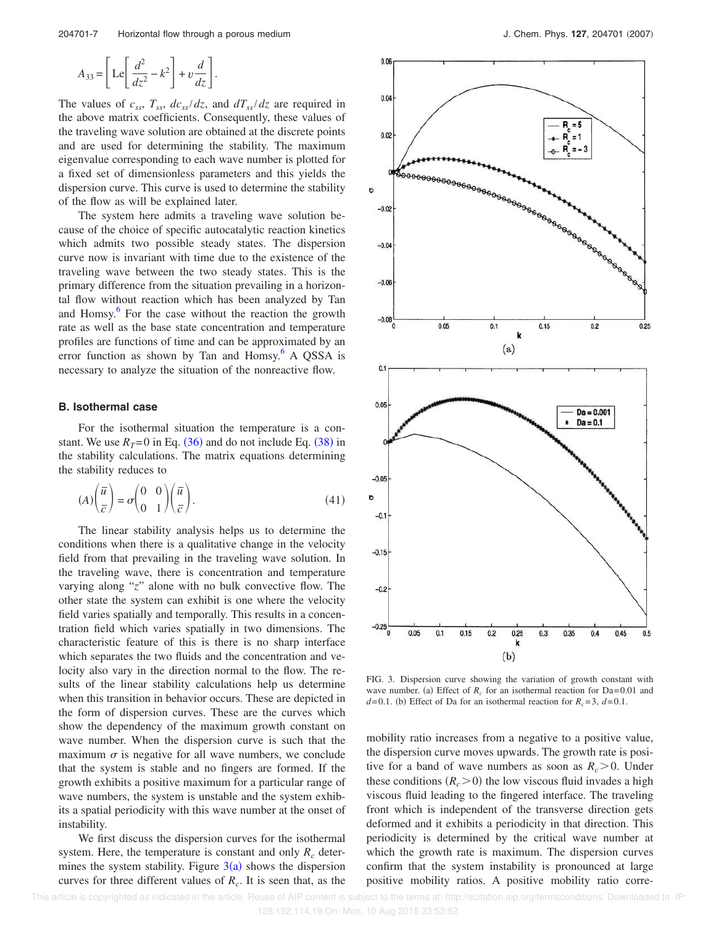$$
A_{33} = \left[ \text{Le} \left[ \frac{d^2}{dz^2} - k^2 \right] + v \frac{d}{dz} \right].
$$

The values of  $c_{ss}$ ,  $T_{ss}$ ,  $dc_{ss}/dz$ , and  $dT_{ss}/dz$  are required in the above matrix coefficients. Consequently, these values of the traveling wave solution are obtained at the discrete points and are used for determining the stability. The maximum eigenvalue corresponding to each wave number is plotted for a fixed set of dimensionless parameters and this yields the dispersion curve. This curve is used to determine the stability of the flow as will be explained later.

The system here admits a traveling wave solution because of the choice of specific autocatalytic reaction kinetics which admits two possible steady states. The dispersion curve now is invariant with time due to the existence of the traveling wave between the two steady states. This is the primary difference from the situation prevailing in a horizontal flow without reaction which has been analyzed by Tan and Homsy.<sup>6</sup> For the case without the reaction the growth rate as well as the base state concentration and temperature profiles are functions of time and can be approximated by an error function as shown by Tan and Homsy. $6$  A QSSA is necessary to analyze the situation of the nonreactive flow.

## **B. Isothermal case**

For the isothermal situation the temperature is a constant. We use  $R_T = 0$  in Eq. (36) and do not include Eq. (38) in the stability calculations. The matrix equations determining the stability reduces to

$$
(A) \left( \frac{\overline{u}}{c} \right) = \sigma \left( \begin{array}{cc} 0 & 0 \\ 0 & 1 \end{array} \right) \left( \frac{\overline{u}}{c} \right). \tag{41}
$$

The linear stability analysis helps us to determine the conditions when there is a qualitative change in the velocity field from that prevailing in the traveling wave solution. In the traveling wave, there is concentration and temperature varying along "*z*" alone with no bulk convective flow. The other state the system can exhibit is one where the velocity field varies spatially and temporally. This results in a concentration field which varies spatially in two dimensions. The characteristic feature of this is there is no sharp interface which separates the two fluids and the concentration and velocity also vary in the direction normal to the flow. The results of the linear stability calculations help us determine when this transition in behavior occurs. These are depicted in the form of dispersion curves. These are the curves which show the dependency of the maximum growth constant on wave number. When the dispersion curve is such that the maximum  $\sigma$  is negative for all wave numbers, we conclude that the system is stable and no fingers are formed. If the growth exhibits a positive maximum for a particular range of wave numbers, the system is unstable and the system exhibits a spatial periodicity with this wave number at the onset of instability.

We first discuss the dispersion curves for the isothermal system. Here, the temperature is constant and only  $R_c$  determines the system stability. Figure  $3(a)$  shows the dispersion curves for three different values of  $R_c$ . It is seen that, as the



FIG. 3. Dispersion curve showing the variation of growth constant with wave number. (a) Effect of  $R_c$  for an isothermal reaction for  $Da = 0.01$  and  $d=0.1$ . (b) Effect of Da for an isothermal reaction for  $R_c=3$ ,  $d=0.1$ .

mobility ratio increases from a negative to a positive value, the dispersion curve moves upwards. The growth rate is positive for a band of wave numbers as soon as  $R_c > 0$ . Under these conditions  $(R_c > 0)$  the low viscous fluid invades a high viscous fluid leading to the fingered interface. The traveling front which is independent of the transverse direction gets deformed and it exhibits a periodicity in that direction. This periodicity is determined by the critical wave number at which the growth rate is maximum. The dispersion curves confirm that the system instability is pronounced at large positive mobility ratios. A positive mobility ratio corre-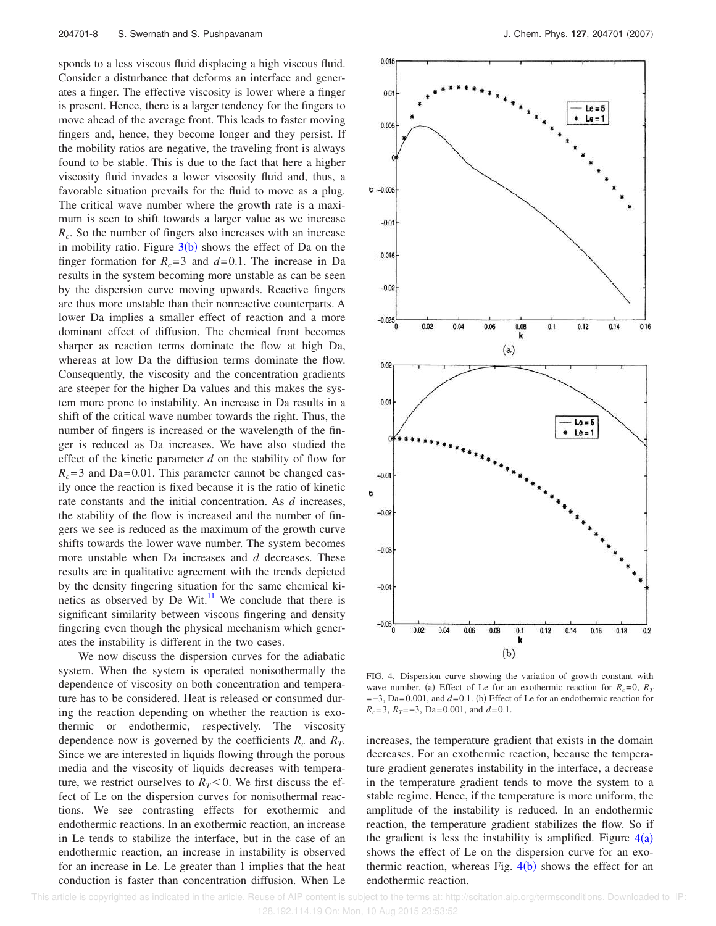sponds to a less viscous fluid displacing a high viscous fluid. Consider a disturbance that deforms an interface and generates a finger. The effective viscosity is lower where a finger is present. Hence, there is a larger tendency for the fingers to move ahead of the average front. This leads to faster moving fingers and, hence, they become longer and they persist. If the mobility ratios are negative, the traveling front is always found to be stable. This is due to the fact that here a higher viscosity fluid invades a lower viscosity fluid and, thus, a favorable situation prevails for the fluid to move as a plug. The critical wave number where the growth rate is a maximum is seen to shift towards a larger value as we increase *Rc* . So the number of fingers also increases with an increase in mobility ratio. Figure  $3(b)$  shows the effect of Da on the finger formation for  $R_c = 3$  and  $d = 0.1$ . The increase in Da results in the system becoming more unstable as can be seen by the dispersion curve moving upwards. Reactive fingers are thus more unstable than their nonreactive counterparts. A lower Da implies a smaller effect of reaction and a more dominant effect of diffusion. The chemical front becomes sharper as reaction terms dominate the flow at high Da, whereas at low Da the diffusion terms dominate the flow. Consequently, the viscosity and the concentration gradients are steeper for the higher Da values and this makes the system more prone to instability. An increase in Da results in a shift of the critical wave number towards the right. Thus, the number of fingers is increased or the wavelength of the finger is reduced as Da increases. We have also studied the effect of the kinetic parameter *d* on the stability of flow for  $R_c$ =3 and Da=0.01. This parameter cannot be changed easily once the reaction is fixed because it is the ratio of kinetic rate constants and the initial concentration. As *d* increases, the stability of the flow is increased and the number of fingers we see is reduced as the maximum of the growth curve shifts towards the lower wave number. The system becomes more unstable when Da increases and *d* decreases. These results are in qualitative agreement with the trends depicted by the density fingering situation for the same chemical kinetics as observed by De Wit. $11$  We conclude that there is significant similarity between viscous fingering and density fingering even though the physical mechanism which generates the instability is different in the two cases.

We now discuss the dispersion curves for the adiabatic system. When the system is operated nonisothermally the dependence of viscosity on both concentration and temperature has to be considered. Heat is released or consumed during the reaction depending on whether the reaction is exothermic or endothermic, respectively. The viscosity dependence now is governed by the coefficients  $R_c$  and  $R_T$ . Since we are interested in liquids flowing through the porous media and the viscosity of liquids decreases with temperature, we restrict ourselves to  $R_T < 0$ . We first discuss the effect of Le on the dispersion curves for nonisothermal reactions. We see contrasting effects for exothermic and endothermic reactions. In an exothermic reaction, an increase in Le tends to stabilize the interface, but in the case of an endothermic reaction, an increase in instability is observed for an increase in Le. Le greater than 1 implies that the heat conduction is faster than concentration diffusion. When Le



FIG. 4. Dispersion curve showing the variation of growth constant with wave number. (a) Effect of Le for an exothermic reaction for  $R_c = 0$ ,  $R_T$ =−3, Da=0.001, and *d*=0.1. (b) Effect of Le for an endothermic reaction for *R*<sub>*c*</sub>=3, *R*<sub>*T*</sub>=−3, Da=0.001, and *d*=0.1.

increases, the temperature gradient that exists in the domain decreases. For an exothermic reaction, because the temperature gradient generates instability in the interface, a decrease in the temperature gradient tends to move the system to a stable regime. Hence, if the temperature is more uniform, the amplitude of the instability is reduced. In an endothermic reaction, the temperature gradient stabilizes the flow. So if the gradient is less the instability is amplified. Figure  $4(a)$ shows the effect of Le on the dispersion curve for an exothermic reaction, whereas Fig.  $4(b)$  shows the effect for an endothermic reaction.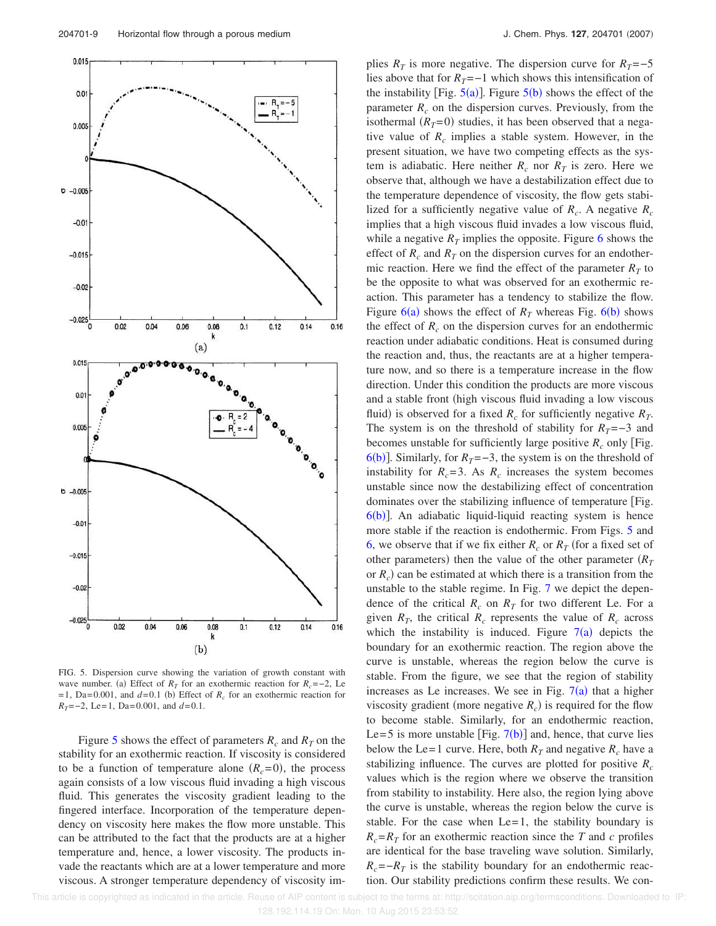

FIG. 5. Dispersion curve showing the variation of growth constant with wave number. (a) Effect of  $R<sub>T</sub>$  for an exothermic reaction for  $R<sub>c</sub>=-2$ , Le  $= 1$ , Da=0.001, and  $d=0.1$  (b) Effect of  $R_c$  for an exothermic reaction for *R*<sup> $T$ </sup>=−2, Le=1, Da=0.001, and *d*=0.1.

Figure 5 shows the effect of parameters  $R_c$  and  $R_T$  on the stability for an exothermic reaction. If viscosity is considered to be a function of temperature alone  $(R<sub>c</sub>=0)$ , the process again consists of a low viscous fluid invading a high viscous fluid. This generates the viscosity gradient leading to the fingered interface. Incorporation of the temperature dependency on viscosity here makes the flow more unstable. This can be attributed to the fact that the products are at a higher temperature and, hence, a lower viscosity. The products invade the reactants which are at a lower temperature and more viscous. A stronger temperature dependency of viscosity im-

plies  $R_T$  is more negative. The dispersion curve for  $R_T$ =−5 lies above that for  $R_T$ =−1 which shows this intensification of the instability [Fig.  $5(a)$ ]. Figure  $5(b)$  shows the effect of the parameter  $R_c$  on the dispersion curves. Previously, from the isothermal  $(R_T=0)$  studies, it has been observed that a negative value of  $R_c$  implies a stable system. However, in the present situation, we have two competing effects as the system is adiabatic. Here neither  $R_c$  nor  $R<sub>T</sub>$  is zero. Here we observe that, although we have a destabilization effect due to the temperature dependence of viscosity, the flow gets stabilized for a sufficiently negative value of  $R_c$ . A negative  $R_c$ implies that a high viscous fluid invades a low viscous fluid, while a negative  $R<sub>T</sub>$  implies the opposite. Figure 6 shows the effect of  $R_c$  and  $R_T$  on the dispersion curves for an endothermic reaction. Here we find the effect of the parameter  $R<sub>T</sub>$  to be the opposite to what was observed for an exothermic reaction. This parameter has a tendency to stabilize the flow. Figure  $6(a)$  shows the effect of  $R<sub>T</sub>$  whereas Fig.  $6(b)$  shows the effect of  $R_c$  on the dispersion curves for an endothermic reaction under adiabatic conditions. Heat is consumed during the reaction and, thus, the reactants are at a higher temperature now, and so there is a temperature increase in the flow direction. Under this condition the products are more viscous and a stable front (high viscous fluid invading a low viscous fluid) is observed for a fixed  $R_c$  for sufficiently negative  $R_T$ . The system is on the threshold of stability for  $R_T$ =−3 and becomes unstable for sufficiently large positive  $R_c$  only [Fig. 6(b)]. Similarly, for  $R_T$ =−3, the system is on the threshold of instability for  $R_c = 3$ . As  $R_c$  increases the system becomes unstable since now the destabilizing effect of concentration dominates over the stabilizing influence of temperature [Fig.  $6(b)$ ]. An adiabatic liquid-liquid reacting system is hence more stable if the reaction is endothermic. From Figs. 5 and 6, we observe that if we fix either  $R_c$  or  $R_T$  (for a fixed set of other parameters) then the value of the other parameter  $(R<sub>T</sub>)$ or  $R_c$ ) can be estimated at which there is a transition from the unstable to the stable regime. In Fig. 7 we depict the dependence of the critical  $R_c$  on  $R_T$  for two different Le. For a given  $R_T$ , the critical  $R_c$  represents the value of  $R_c$  across which the instability is induced. Figure  $7(a)$  depicts the boundary for an exothermic reaction. The region above the curve is unstable, whereas the region below the curve is stable. From the figure, we see that the region of stability increases as Le increases. We see in Fig.  $7(a)$  that a higher viscosity gradient (more negative  $R_c$ ) is required for the flow to become stable. Similarly, for an endothermic reaction, Le=5 is more unstable [Fig.  $7(b)$ ] and, hence, that curve lies below the Le=1 curve. Here, both  $R_T$  and negative  $R_c$  have a stabilizing influence. The curves are plotted for positive *R<sup>c</sup>* values which is the region where we observe the transition from stability to instability. Here also, the region lying above the curve is unstable, whereas the region below the curve is stable. For the case when  $Le=1$ , the stability boundary is  $R_c = R_T$  for an exothermic reaction since the *T* and *c* profiles are identical for the base traveling wave solution. Similarly,  $R_c = -R_T$  is the stability boundary for an endothermic reaction. Our stability predictions confirm these results. We con-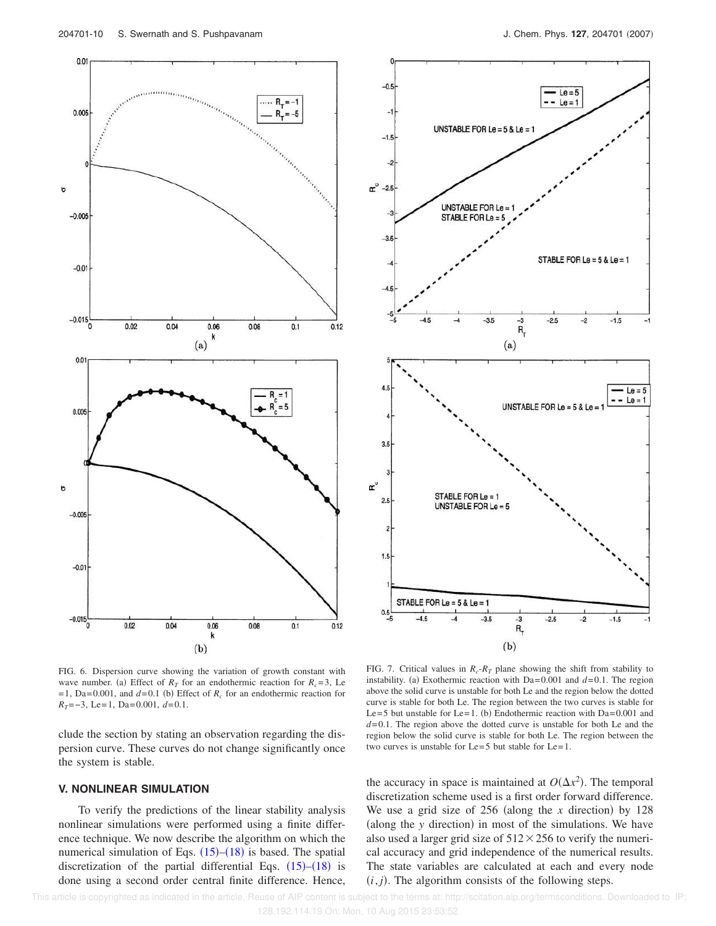

FIG. 6. Dispersion curve showing the variation of growth constant with wave number. (a) Effect of  $R_T$  for an endothermic reaction for  $R_c = 3$ , Le  $= 1$ , Da=0.001, and  $d=0.1$  (b) Effect of  $R_c$  for an endothermic reaction for *RT*=−3, Le=1, Da=0.001, *d*=0.1.

clude the section by stating an observation regarding the dispersion curve. These curves do not change significantly once the system is stable.

## **V. NONLINEAR SIMULATION**

To verify the predictions of the linear stability analysis nonlinear simulations were performed using a finite difference technique. We now describe the algorithm on which the numerical simulation of Eqs.  $(15)$ – $(18)$  is based. The spatial discretization of the partial differential Eqs.  $(15)$ – $(18)$  is done using a second order central finite difference. Hence,



FIG. 7. Critical values in  $R_c$ - $R_T$  plane showing the shift from stability to instability. (a) Exothermic reaction with  $Da = 0.001$  and  $d = 0.1$ . The region above the solid curve is unstable for both Le and the region below the dotted curve is stable for both Le. The region between the two curves is stable for Le=5 but unstable for Le=1. (b) Endothermic reaction with  $Da = 0.001$  and *d*=0.1. The region above the dotted curve is unstable for both Le and the region below the solid curve is stable for both Le. The region between the two curves is unstable for Le=5 but stable for Le=1.

the accuracy in space is maintained at  $O(\Delta x^2)$ . The temporal discretization scheme used is a first order forward difference. We use a grid size of  $256$  (along the *x* direction) by  $128$ (along the *y* direction) in most of the simulations. We have also used a larger grid size of  $512 \times 256$  to verify the numerical accuracy and grid independence of the numerical results. The state variables are calculated at each and every node  $(i, j)$ . The algorithm consists of the following steps.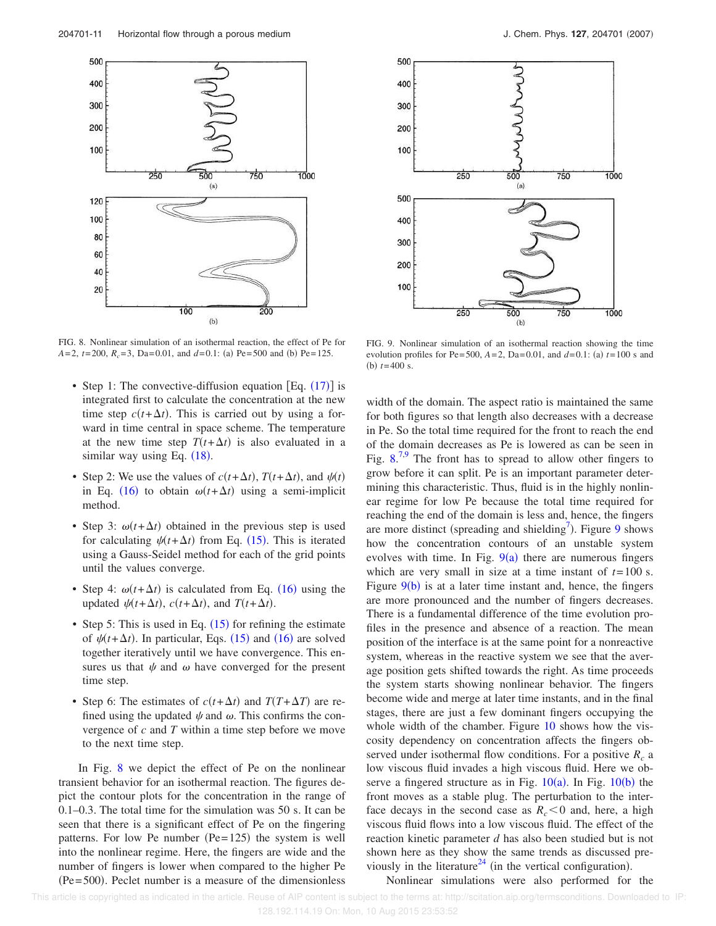



FIG. 8. Nonlinear simulation of an isothermal reaction, the effect of Pe for *A*=2, *t*=200,  $R_c$ =3, Da=0.01, and *d*=0.1: (a) Pe=500 and (b) Pe=125.

- Step 1: The convective-diffusion equation  $[Eq. (17)]$  is integrated first to calculate the concentration at the new time step  $c(t + \Delta t)$ . This is carried out by using a forward in time central in space scheme. The temperature at the new time step  $T(t + \Delta t)$  is also evaluated in a similar way using Eq. (18).
- Step 2: We use the values of  $c(t + \Delta t)$ ,  $T(t + \Delta t)$ , and  $\psi(t)$ in Eq. (16) to obtain  $\omega(t+\Delta t)$  using a semi-implicit method.
- Step 3:  $\omega(t + \Delta t)$  obtained in the previous step is used for calculating  $\psi(t+\Delta t)$  from Eq. (15). This is iterated using a Gauss-Seidel method for each of the grid points until the values converge.
- Step 4:  $\omega(t + \Delta t)$  is calculated from Eq. (16) using the updated  $\psi(t + \Delta t)$ ,  $c(t + \Delta t)$ , and  $T(t + \Delta t)$ .
- Step 5: This is used in Eq.  $(15)$  for refining the estimate of  $\psi(t + \Delta t)$ . In particular, Eqs. (15) and (16) are solved together iteratively until we have convergence. This ensures us that  $\psi$  and  $\omega$  have converged for the present time step.
- Step 6: The estimates of  $c(t + \Delta t)$  and  $T(T + \Delta T)$  are refined using the updated  $\psi$  and  $\omega$ . This confirms the convergence of *c* and *T* within a time step before we move to the next time step.

In Fig. 8 we depict the effect of Pe on the nonlinear transient behavior for an isothermal reaction. The figures depict the contour plots for the concentration in the range of 0.1–0.3. The total time for the simulation was 50 s. It can be seen that there is a significant effect of Pe on the fingering patterns. For low Pe number  $(Pe=125)$  the system is well into the nonlinear regime. Here, the fingers are wide and the number of fingers is lower when compared to the higher Pe  $(Pe = 500)$ . Peclet number is a measure of the dimensionless

FIG. 9. Nonlinear simulation of an isothermal reaction showing the time evolution profiles for Pe=500,  $A = 2$ , Da=0.01, and  $d=0.1$ : (a)  $t=100$  s and (b)  $t = 400$  s.

width of the domain. The aspect ratio is maintained the same for both figures so that length also decreases with a decrease in Pe. So the total time required for the front to reach the end of the domain decreases as Pe is lowered as can be seen in Fig.  $8^{7,9}$  The front has to spread to allow other fingers to grow before it can split. Pe is an important parameter determining this characteristic. Thus, fluid is in the highly nonlinear regime for low Pe because the total time required for reaching the end of the domain is less and, hence, the fingers are more distinct (spreading and shielding<sup>7</sup>). Figure 9 shows how the concentration contours of an unstable system evolves with time. In Fig.  $9(a)$  there are numerous fingers which are very small in size at a time instant of  $t = 100$  s. Figure  $9(b)$  is at a later time instant and, hence, the fingers are more pronounced and the number of fingers decreases. There is a fundamental difference of the time evolution profiles in the presence and absence of a reaction. The mean position of the interface is at the same point for a nonreactive system, whereas in the reactive system we see that the average position gets shifted towards the right. As time proceeds the system starts showing nonlinear behavior. The fingers become wide and merge at later time instants, and in the final stages, there are just a few dominant fingers occupying the whole width of the chamber. Figure 10 shows how the viscosity dependency on concentration affects the fingers observed under isothermal flow conditions. For a positive  $R_c$  a low viscous fluid invades a high viscous fluid. Here we observe a fingered structure as in Fig.  $10(a)$ . In Fig.  $10(b)$  the front moves as a stable plug. The perturbation to the interface decays in the second case as  $R_c < 0$  and, here, a high viscous fluid flows into a low viscous fluid. The effect of the reaction kinetic parameter *d* has also been studied but is not shown here as they show the same trends as discussed previously in the literature<sup>24</sup> (in the vertical configuration).

Nonlinear simulations were also performed for the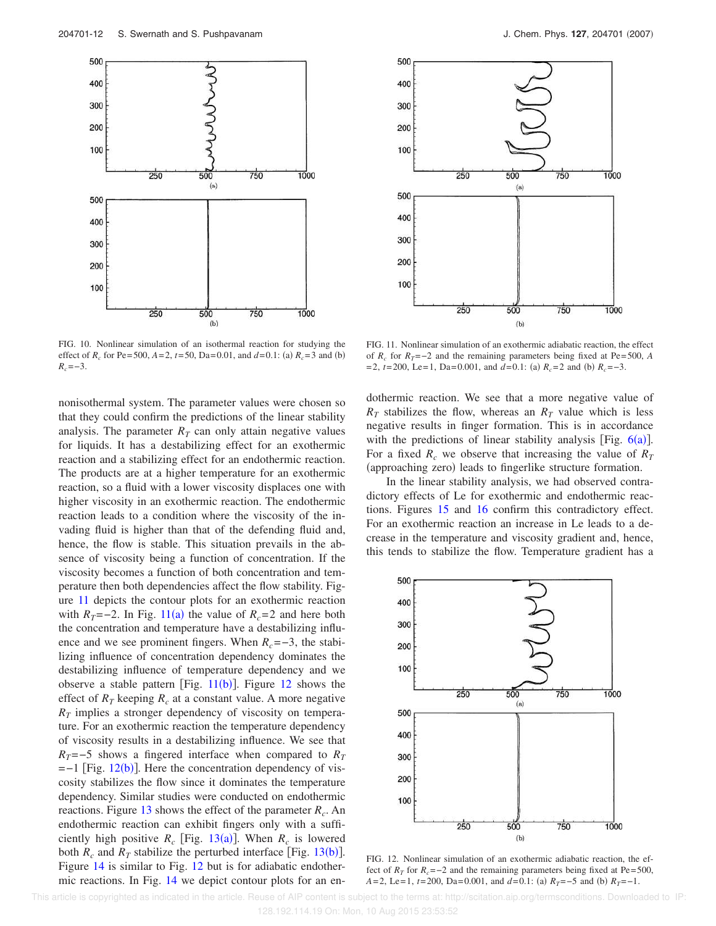

J. Chem. Phys. 127, 204701 (2007)



FIG. 10. Nonlinear simulation of an isothermal reaction for studying the effect of  $R_c$  for Pe=500,  $A = 2$ ,  $t = 50$ , Da=0.01, and  $d = 0.1$ : (a)  $R_c = 3$  and (b)  $R_c$ =−3.

FIG. 11. Nonlinear simulation of an exothermic adiabatic reaction, the effect of  $R_c$  for  $R_T$ =−2 and the remaining parameters being fixed at Pe=500, *A*  $=$  2, *t*=200, Le=1, Da=0.001, and *d*=0.1: (a)  $R_c$ =2 and (b)  $R_c$ =-3.

nonisothermal system. The parameter values were chosen so that they could confirm the predictions of the linear stability analysis. The parameter  $R_T$  can only attain negative values for liquids. It has a destabilizing effect for an exothermic reaction and a stabilizing effect for an endothermic reaction. The products are at a higher temperature for an exothermic reaction, so a fluid with a lower viscosity displaces one with higher viscosity in an exothermic reaction. The endothermic reaction leads to a condition where the viscosity of the invading fluid is higher than that of the defending fluid and, hence, the flow is stable. This situation prevails in the absence of viscosity being a function of concentration. If the viscosity becomes a function of both concentration and temperature then both dependencies affect the flow stability. Figure 11 depicts the contour plots for an exothermic reaction with  $R_T$ =−2. In Fig. 11(a) the value of  $R_c$ =2 and here both the concentration and temperature have a destabilizing influence and we see prominent fingers. When  $R_c$ =−3, the stabilizing influence of concentration dependency dominates the destabilizing influence of temperature dependency and we observe a stable pattern [Fig.  $11(b)$ ]. Figure 12 shows the effect of  $R_T$  keeping  $R_c$  at a constant value. A more negative *RT* implies a stronger dependency of viscosity on temperature. For an exothermic reaction the temperature dependency of viscosity results in a destabilizing influence. We see that  $R_T$ =−5 shows a fingered interface when compared to  $R_T$  $=-1$  [Fig. 12(b)]. Here the concentration dependency of viscosity stabilizes the flow since it dominates the temperature dependency. Similar studies were conducted on endothermic reactions. Figure 13 shows the effect of the parameter *R<sup>c</sup>* . An endothermic reaction can exhibit fingers only with a sufficiently high positive  $R_c$  [Fig. 13(a)]. When  $R_c$  is lowered both  $R_c$  and  $R_T$  stabilize the perturbed interface [Fig. 13(b)]. Figure 14 is similar to Fig. 12 but is for adiabatic endothermic reactions. In Fig. 14 we depict contour plots for an endothermic reaction. We see that a more negative value of  $R_T$  stabilizes the flow, whereas an  $R_T$  value which is less negative results in finger formation. This is in accordance with the predictions of linear stability analysis [Fig.  $6(a)$ ]. For a fixed  $R_c$  we observe that increasing the value of  $R_T$ (approaching zero) leads to fingerlike structure formation.

In the linear stability analysis, we had observed contradictory effects of Le for exothermic and endothermic reactions. Figures 15 and 16 confirm this contradictory effect. For an exothermic reaction an increase in Le leads to a decrease in the temperature and viscosity gradient and, hence, this tends to stabilize the flow. Temperature gradient has a



FIG. 12. Nonlinear simulation of an exothermic adiabatic reaction, the effect of  $R_T$  for  $R_c$ =−2 and the remaining parameters being fixed at Pe=500, *A*=2, Le=1, *t*=200, Da=0.001, and *d*=0.1: (a)  $R_T$ =−5 and (b)  $R_T$ =−1.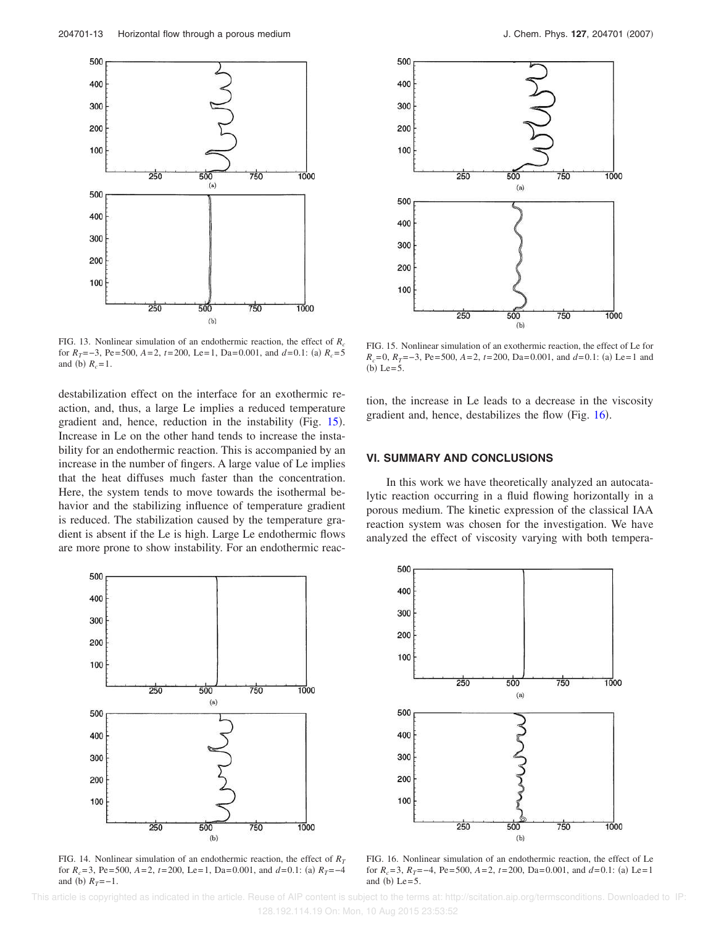

FIG. 13. Nonlinear simulation of an endothermic reaction, the effect of *R<sup>c</sup>* for  $R_T$ =−3, Pe=500, A=2, t=200, Le=1, Da=0.001, and  $d=0.1$ : (a)  $R_c$ =5 and (b)  $R_c = 1$ .

destabilization effect on the interface for an exothermic reaction, and, thus, a large Le implies a reduced temperature gradient and, hence, reduction in the instability (Fig. 15). Increase in Le on the other hand tends to increase the instability for an endothermic reaction. This is accompanied by an increase in the number of fingers. A large value of Le implies that the heat diffuses much faster than the concentration. Here, the system tends to move towards the isothermal behavior and the stabilizing influence of temperature gradient is reduced. The stabilization caused by the temperature gradient is absent if the Le is high. Large Le endothermic flows are more prone to show instability. For an endothermic reac-



FIG. 14. Nonlinear simulation of an endothermic reaction, the effect of  $R<sub>T</sub>$ for  $R_c = 3$ , Pe=500,  $A = 2$ ,  $t = 200$ , Le=1, Da=0.001, and  $d=0.1$ : (a)  $R_T = -4$ and (b)  $R_T = -1$ .



FIG. 15. Nonlinear simulation of an exothermic reaction, the effect of Le for *R*<sub>*c*</sub>=0, *R*<sub>*T*</sub>=−3, Pe=500, *A*=2, *t*=200, Da=0.001, and *d*=0.1: (a) Le=1 and (b) Le=5.

tion, the increase in Le leads to a decrease in the viscosity gradient and, hence, destabilizes the flow (Fig. 16).

# **VI. SUMMARY AND CONCLUSIONS**

In this work we have theoretically analyzed an autocatalytic reaction occurring in a fluid flowing horizontally in a porous medium. The kinetic expression of the classical IAA reaction system was chosen for the investigation. We have analyzed the effect of viscosity varying with both tempera-



FIG. 16. Nonlinear simulation of an endothermic reaction, the effect of Le for  $R_c = 3$ ,  $R_T = -4$ , Pe=500,  $A = 2$ ,  $t = 200$ , Da=0.001, and  $d = 0.1$ : (a) Le=1 and (b)  $Le=5$ .